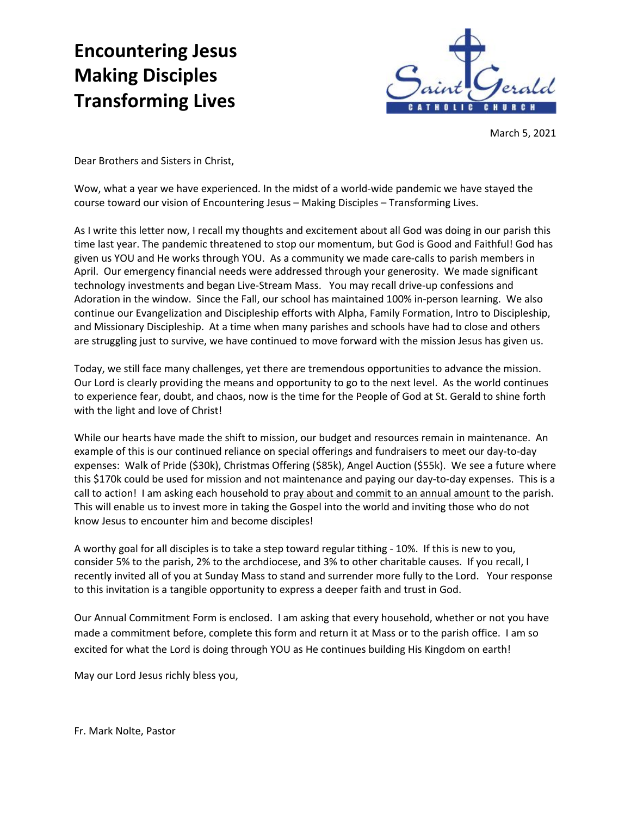## **Encountering Jesus Making Disciples Transforming Lives**



March 5, 2021

Dear Brothers and Sisters in Christ,

Wow, what a year we have experienced. In the midst of a world-wide pandemic we have stayed the course toward our vision of Encountering Jesus – Making Disciples – Transforming Lives.

As I write this letter now, I recall my thoughts and excitement about all God was doing in our parish this time last year. The pandemic threatened to stop our momentum, but God is Good and Faithful! God has given us YOU and He works through YOU. As a community we made care-calls to parish members in April. Our emergency financial needs were addressed through your generosity. We made significant technology investments and began Live-Stream Mass. You may recall drive-up confessions and Adoration in the window. Since the Fall, our school has maintained 100% in-person learning. We also continue our Evangelization and Discipleship efforts with Alpha, Family Formation, Intro to Discipleship, and Missionary Discipleship. At a time when many parishes and schools have had to close and others are struggling just to survive, we have continued to move forward with the mission Jesus has given us.

Today, we still face many challenges, yet there are tremendous opportunities to advance the mission. Our Lord is clearly providing the means and opportunity to go to the next level. As the world continues to experience fear, doubt, and chaos, now is the time for the People of God at St. Gerald to shine forth with the light and love of Christ!

While our hearts have made the shift to mission, our budget and resources remain in maintenance. An example of this is our continued reliance on special offerings and fundraisers to meet our day-to-day expenses: Walk of Pride (\$30k), Christmas Offering (\$85k), Angel Auction (\$55k). We see a future where this \$170k could be used for mission and not maintenance and paying our day-to-day expenses. This is a call to action! I am asking each household to pray about and commit to an annual amount to the parish. This will enable us to invest more in taking the Gospel into the world and inviting those who do not know Jesus to encounter him and become disciples!

A worthy goal for all disciples is to take a step toward regular tithing - 10%. If this is new to you, consider 5% to the parish, 2% to the archdiocese, and 3% to other charitable causes. If you recall, I recently invited all of you at Sunday Mass to stand and surrender more fully to the Lord. Your response to this invitation is a tangible opportunity to express a deeper faith and trust in God.

Our Annual Commitment Form is enclosed. I am asking that every household, whether or not you have made a commitment before, complete this form and return it at Mass or to the parish office. I am so excited for what the Lord is doing through YOU as He continues building His Kingdom on earth!

May our Lord Jesus richly bless you,

Fr. Mark Nolte, Pastor